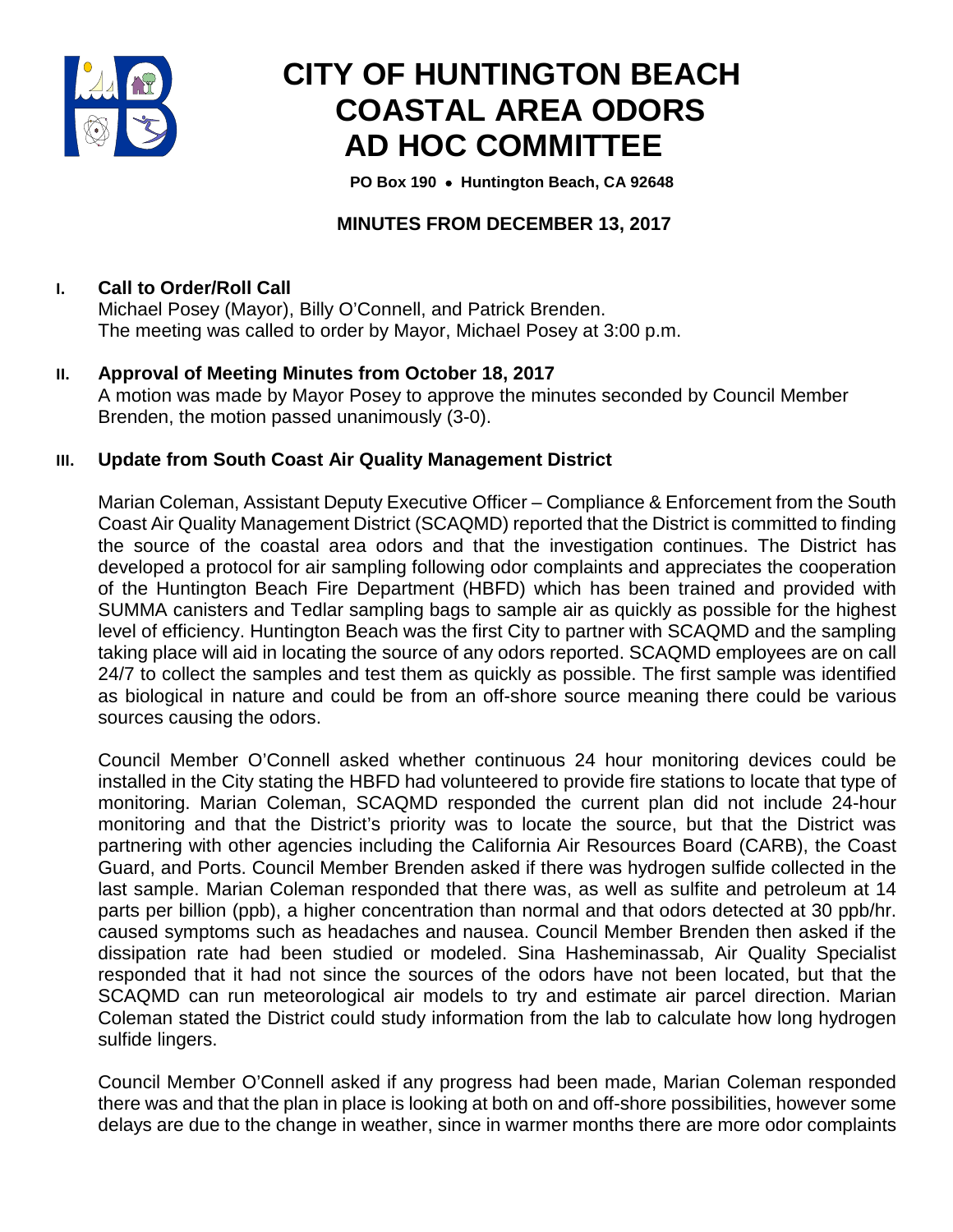

# **CITY OF HUNTINGTON BEACH COASTAL AREA ODORS AD HOC COMMITTEE**

 **PO Box 190** • **Huntington Beach, CA 92648**

# **MINUTES FROM DECEMBER 13, 2017**

# **I. Call to Order/Roll Call**

Michael Posey (Mayor), Billy O'Connell, and Patrick Brenden. The meeting was called to order by Mayor, Michael Posey at 3:00 p.m.

**II. Approval of Meeting Minutes from October 18, 2017** A motion was made by Mayor Posey to approve the minutes seconded by Council Member Brenden, the motion passed unanimously (3-0).

#### **III. Update from South Coast Air Quality Management District**

Marian Coleman, Assistant Deputy Executive Officer – Compliance & Enforcement from the South Coast Air Quality Management District (SCAQMD) reported that the District is committed to finding the source of the coastal area odors and that the investigation continues. The District has developed a protocol for air sampling following odor complaints and appreciates the cooperation of the Huntington Beach Fire Department (HBFD) which has been trained and provided with SUMMA canisters and Tedlar sampling bags to sample air as quickly as possible for the highest level of efficiency. Huntington Beach was the first City to partner with SCAQMD and the sampling taking place will aid in locating the source of any odors reported. SCAQMD employees are on call 24/7 to collect the samples and test them as quickly as possible. The first sample was identified as biological in nature and could be from an off-shore source meaning there could be various sources causing the odors.

Council Member O'Connell asked whether continuous 24 hour monitoring devices could be installed in the City stating the HBFD had volunteered to provide fire stations to locate that type of monitoring. Marian Coleman, SCAQMD responded the current plan did not include 24-hour monitoring and that the District's priority was to locate the source, but that the District was partnering with other agencies including the California Air Resources Board (CARB), the Coast Guard, and Ports. Council Member Brenden asked if there was hydrogen sulfide collected in the last sample. Marian Coleman responded that there was, as well as sulfite and petroleum at 14 parts per billion (ppb), a higher concentration than normal and that odors detected at 30 ppb/hr. caused symptoms such as headaches and nausea. Council Member Brenden then asked if the dissipation rate had been studied or modeled. Sina Hasheminassab, Air Quality Specialist responded that it had not since the sources of the odors have not been located, but that the SCAQMD can run meteorological air models to try and estimate air parcel direction. Marian Coleman stated the District could study information from the lab to calculate how long hydrogen sulfide lingers.

Council Member O'Connell asked if any progress had been made, Marian Coleman responded there was and that the plan in place is looking at both on and off-shore possibilities, however some delays are due to the change in weather, since in warmer months there are more odor complaints